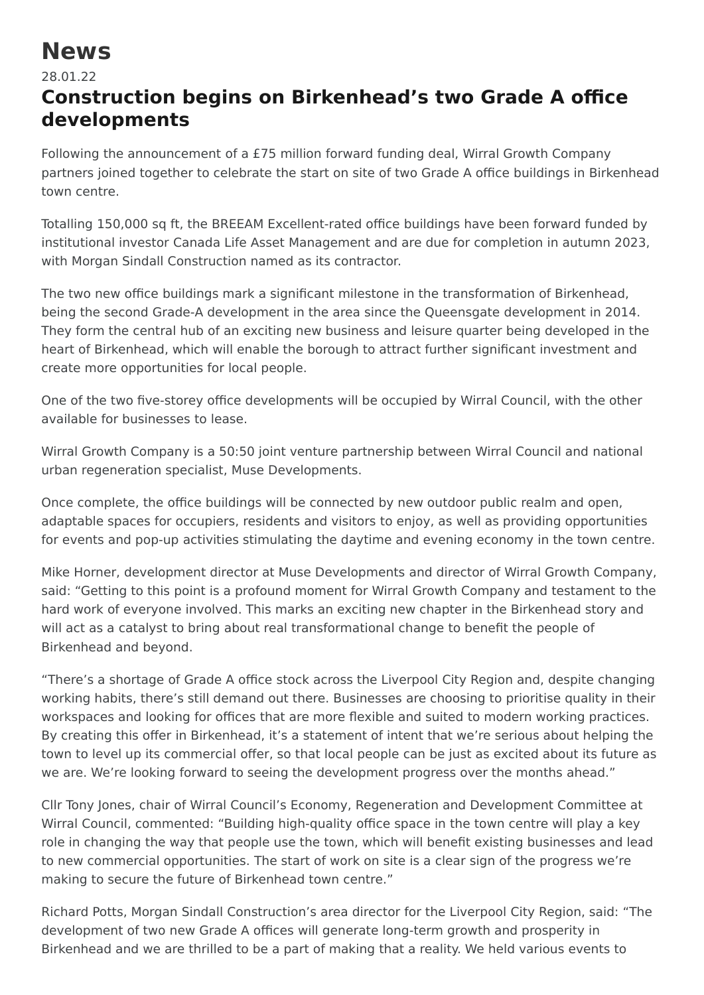## **News**

## 28.01.22

## **Construction begins on Birkenhead's two Grade A office developments**

Following the announcement of a £75 million forward funding deal, Wirral Growth Company partners joined together to celebrate the start on site of two Grade A office buildings in Birkenhead town centre.

Totalling 150,000 sq ft, the BREEAM Excellent-rated office buildings have been forward funded by institutional investor Canada Life Asset Management and are due for completion in autumn 2023, with Morgan Sindall Construction named as its contractor.

The two new office buildings mark a significant milestone in the transformation of Birkenhead, being the second Grade-A development in the area since the Queensgate development in 2014. They form the central hub of an exciting new business and leisure quarter being developed in the heart of Birkenhead, which will enable the borough to attract further significant investment and create more opportunities for local people.

One of the two five-storey office developments will be occupied by Wirral Council, with the other available for businesses to lease.

Wirral Growth Company is a 50:50 joint venture partnership between Wirral Council and national urban regeneration specialist, Muse Developments.

Once complete, the office buildings will be connected by new outdoor public realm and open, adaptable spaces for occupiers, residents and visitors to enjoy, as well as providing opportunities for events and pop-up activities stimulating the daytime and evening economy in the town centre.

Mike Horner, development director at Muse Developments and director of Wirral Growth Company, said: "Getting to this point is a profound moment for Wirral Growth Company and testament to the hard work of everyone involved. This marks an exciting new chapter in the Birkenhead story and will act as a catalyst to bring about real transformational change to benefit the people of Birkenhead and beyond.

"There's a shortage of Grade A office stock across the Liverpool City Region and, despite changing working habits, there's still demand out there. Businesses are choosing to prioritise quality in their workspaces and looking for offices that are more flexible and suited to modern working practices. By creating this offer in Birkenhead, it's a statement of intent that we're serious about helping the town to level up its commercial offer, so that local people can be just as excited about its future as we are. We're looking forward to seeing the development progress over the months ahead."

Cllr Tony Jones, chair of Wirral Council's Economy, Regeneration and Development Committee at Wirral Council, commented: "Building high-quality office space in the town centre will play a key role in changing the way that people use the town, which will benefit existing businesses and lead to new commercial opportunities. The start of work on site is a clear sign of the progress we're making to secure the future of Birkenhead town centre."

Richard Potts, Morgan Sindall Construction's area director for the Liverpool City Region, said: "The development of two new Grade A offices will generate long-term growth and prosperity in Birkenhead and we are thrilled to be a part of making that a reality. We held various events to